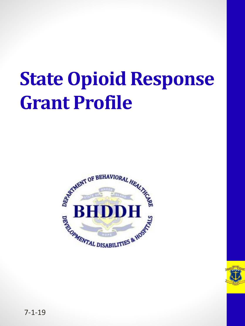#### **State Opioid Response Grant Profile**



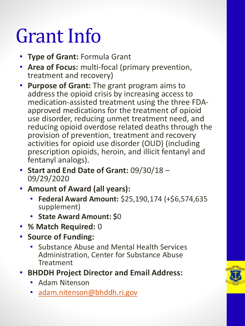#### Grant Info

- **Type of Grant:** Formula Grant
- **Area of Focus:** multi-focal (primary prevention, treatment and recovery)
- **Purpose of Grant:** The grant program aims to address the opioid crisis by increasing access to medication-assisted treatment using the three FDAapproved medications for the treatment of opioid use disorder, reducing unmet treatment need, and reducing opioid overdose related deaths through the provision of prevention, treatment and recovery activities for opioid use disorder (OUD) (including prescription opioids, heroin, and illicit fentanyl and fentanyl analogs).
- **Start and End Date of Grant:** 09/30/18 09/29/2020
- **Amount of Award (all years):**
	- **Federal Award Amount:** \$25,190,174 (+\$6,574,635 supplement)
	- **State Award Amount: \$**0
- **% Match Required:** 0
- **Source of Funding:** 
	- Substance Abuse and Mental Health Services Administration, Center for Substance Abuse **Treatment**
- **BHDDH Project Director and Email Address:** 
	- Adam Nitenson
	- [adam.nitenson@bhddh.ri.gov](http://adam.nitenson@bhddh.ri.gov)

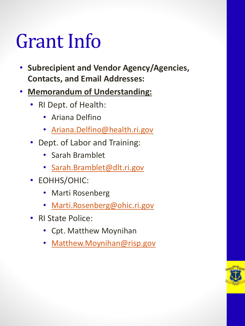#### Grant Info

- **Subrecipient and Vendor Agency/Agencies, Contacts, and Email Addresses:**
- **Memorandum of Understanding:**
	- RI Dept. of Health:
		- Ariana Delfino
		- [Ariana.Delfino@health.ri.gov](mailto:Ariana.Delfino@health.ri.gov)
	- Dept. of Labor and Training:
		- Sarah Bramblet
		- [Sarah.Bramblet@dlt.ri.gov](mailto:Sarah.Bramblet@dlt.ri.gov)
	- EOHHS/OHIC:
		- Marti Rosenberg
		- [Marti.Rosenberg@ohic.ri.gov](mailto:Marti.Rosenberg@ohic.ri.gov)
	- RI State Police:
		- Cpt. Matthew Moynihan
		- [Matthew.Moynihan@risp.gov](mailto:Matthew.Moynihan@risp.gov)

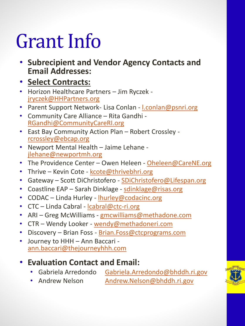#### Grant Info

- **Subrecipient and Vendor Agency Contacts and Email Addresses:**
- **Select Contracts:**
- Horizon Healthcare Partners Jim Ryczek [jryczek@HHPartners.org](mailto:jryczek@HHPartners.org)
- Parent Support Network- Lisa Conlan *[l.conlan@psnri.org](mailto:l.conlan@psnri.org)*
- Community Care Alliance Rita Gandhi [RGandhi@CommunityCareRI.org](mailto:RGandhi@CommunityCareRI.org)
- East Bay Community Action Plan Robert Crossley [rcrossley@ebcap.org](mailto:rcrossley@ebcap.org)
- Newport Mental Health Jaime Lehane [jlehane@newportmh.org](mailto:jlehane@newportmh.org)
- The Providence Center Owen Heleen [Oheleen@CareNE.org](mailto:Oheleen@CareNE.org)
- Thrive Kevin Cote [kcote@thrivebhri.org](mailto:kcote@thrivebhri.org)
- Gateway Scott DiChristofero [SDiChristofero@Lifespan.org](mailto:SDiChristofero@Lifespan.org)
- Coastline EAP Sarah Dinklage [sdinklage@risas.org](mailto:sdinklage@risas.org)
- CODAC Linda Hurley [lhurley@codacinc.org](mailto:lhurley@codacinc.org)
- CTC Linda Cabral [lcabral@ctc-ri.org](mailto:lcabral@ctc-ri.org)
- ARI Greg McWilliams [gmcwilliams@methadone.com](mailto:gmcwilliams@methadone.com)
- CTR Wendy Looker [wendy@methadoneri.com](mailto:wendy@methadoneri.com)
- Discovery Brian Foss [Brian.Foss@ctcprograms.com](mailto:Brian.Foss@ctcprograms.com)
- Journey to HHH Ann Baccari [ann.baccari@thejourneyhhh.com](mailto:ann.baccari@thejourneyhhh.com)
- **Evaluation Contact and Email:** 
	- Gabriela Arredondo [Gabriela.Arredondo@bhddh.ri.gov](mailto:Gabriela.Arredondo@bhddh.ri.gov)
	- Andrew Nelson [Andrew.Nelson@bhddh.ri.gov](mailto:Andrew.Nelson@bhddh.ri.gov)

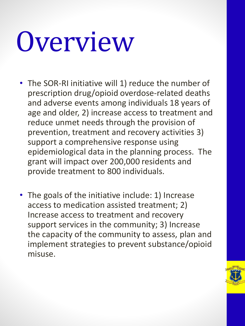# Overview

- The SOR-RI initiative will 1) reduce the number of prescription drug/opioid overdose-related deaths and adverse events among individuals 18 years of age and older, 2) increase access to treatment and reduce unmet needs through the provision of prevention, treatment and recovery activities 3) support a comprehensive response using epidemiological data in the planning process. The grant will impact over 200,000 residents and provide treatment to 800 individuals.
- The goals of the initiative include: 1) Increase access to medication assisted treatment; 2) Increase access to treatment and recovery support services in the community; 3) Increase the capacity of the community to assess, plan and implement strategies to prevent substance/opioid misuse.

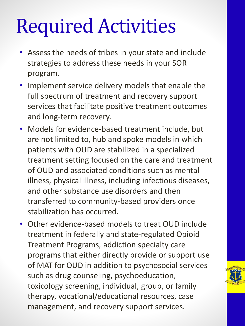#### Required Activities

- Assess the needs of tribes in your state and include strategies to address these needs in your SOR program.
- Implement service delivery models that enable the full spectrum of treatment and recovery support services that facilitate positive treatment outcomes and long-term recovery.
- Models for evidence-based treatment include, but are not limited to, hub and spoke models in which patients with OUD are stabilized in a specialized treatment setting focused on the care and treatment of OUD and associated conditions such as mental illness, physical illness, including infectious diseases, and other substance use disorders and then transferred to community-based providers once stabilization has occurred.
- Other evidence-based models to treat OUD include treatment in federally and state-regulated Opioid Treatment Programs, addiction specialty care programs that either directly provide or support use of MAT for OUD in addition to psychosocial services such as drug counseling, psychoeducation, toxicology screening, individual, group, or family therapy, vocational/educational resources, case management, and recovery support services.

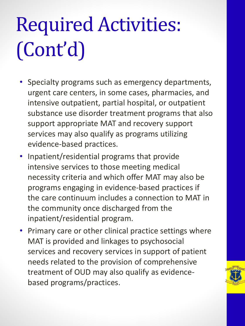### Required Activities: (Cont'd)

- Specialty programs such as emergency departments, urgent care centers, in some cases, pharmacies, and intensive outpatient, partial hospital, or outpatient substance use disorder treatment programs that also support appropriate MAT and recovery support services may also qualify as programs utilizing evidence-based practices.
- Inpatient/residential programs that provide intensive services to those meeting medical necessity criteria and which offer MAT may also be programs engaging in evidence-based practices if the care continuum includes a connection to MAT in the community once discharged from the inpatient/residential program.
- Primary care or other clinical practice settings where MAT is provided and linkages to psychosocial services and recovery services in support of patient needs related to the provision of comprehensive treatment of OUD may also qualify as evidencebased programs/practices.

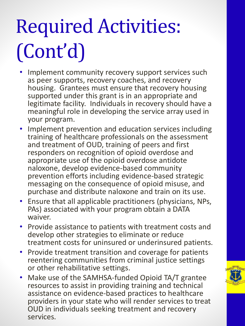## Required Activities: (Cont'd)

- Implement community recovery support services such as peer supports, recovery coaches, and recovery housing. Grantees must ensure that recovery housing supported under this grant is in an appropriate and legitimate facility. Individuals in recovery should have a meaningful role in developing the service array used in your program.
- Implement prevention and education services including training of healthcare professionals on the assessment and treatment of OUD, training of peers and first responders on recognition of opioid overdose and appropriate use of the opioid overdose antidote naloxone, develop evidence-based community prevention efforts including evidence-based strategic messaging on the consequence of opioid misuse, and purchase and distribute naloxone and train on its use.
- Ensure that all applicable practitioners (physicians, NPs, PAs) associated with your program obtain a DATA waiver.
- Provide assistance to patients with treatment costs and develop other strategies to eliminate or reduce treatment costs for uninsured or underinsured patients.
- Provide treatment transition and coverage for patients reentering communities from criminal justice settings or other rehabilitative settings.
- Make use of the SAMHSA-funded Opioid TA/T grantee resources to assist in providing training and technical assistance on evidence-based practices to healthcare providers in your state who will render services to treat OUD in individuals seeking treatment and recovery services.

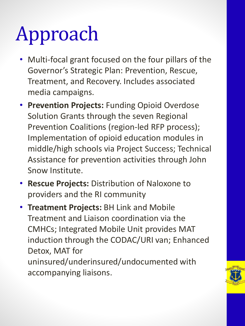### Approach

- Multi-focal grant focused on the four pillars of the Governor's Strategic Plan: Prevention, Rescue, Treatment, and Recovery. Includes associated media campaigns.
- **Prevention Projects:** Funding Opioid Overdose Solution Grants through the seven Regional Prevention Coalitions (region-led RFP process); Implementation of opioid education modules in middle/high schools via Project Success; Technical Assistance for prevention activities through John Snow Institute.
- **Rescue Projects:** Distribution of Naloxone to providers and the RI community
- **Treatment Projects:** BH Link and Mobile Treatment and Liaison coordination via the CMHCs; Integrated Mobile Unit provides MAT induction through the CODAC/URI van; Enhanced Detox, MAT for uninsured/underinsured/undocumented with accompanying liaisons.